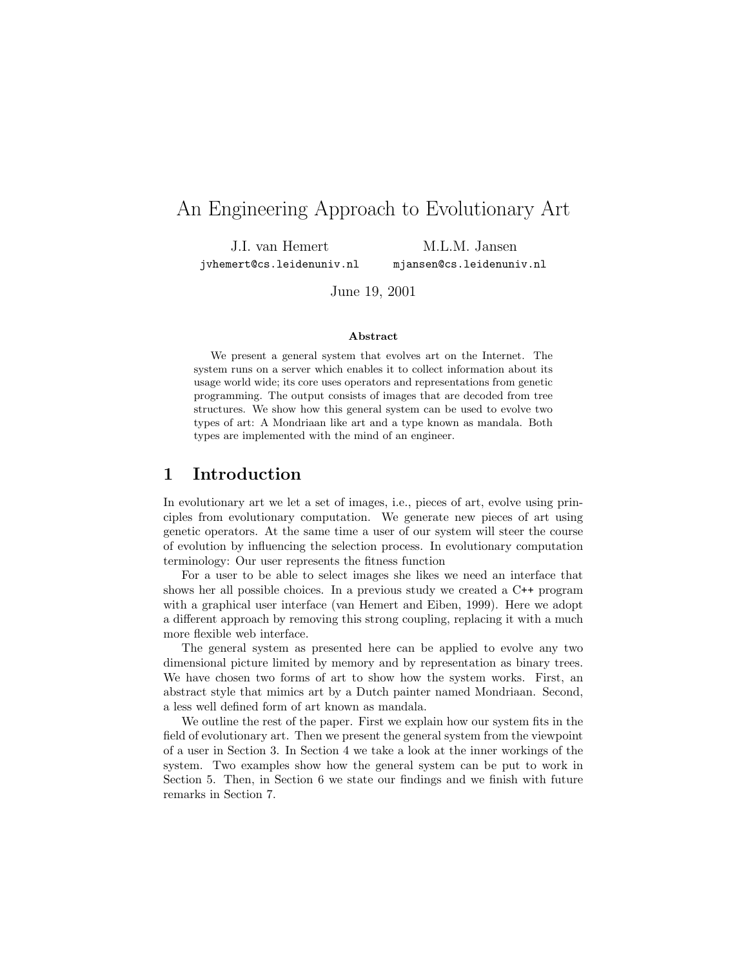# An Engineering Approach to Evolutionary Art

J.I. van Hemert jvhemert@cs.leidenuniv.nl

M.L.M. Jansen mjansen@cs.leidenuniv.nl

June 19, 2001

#### Abstract

We present a general system that evolves art on the Internet. The system runs on a server which enables it to collect information about its usage world wide; its core uses operators and representations from genetic programming. The output consists of images that are decoded from tree structures. We show how this general system can be used to evolve two types of art: A Mondriaan like art and a type known as mandala. Both types are implemented with the mind of an engineer.

## 1 Introduction

In evolutionary art we let a set of images, i.e., pieces of art, evolve using principles from evolutionary computation. We generate new pieces of art using genetic operators. At the same time a user of our system will steer the course of evolution by influencing the selection process. In evolutionary computation terminology: Our user represents the fitness function

For a user to be able to select images she likes we need an interface that shows her all possible choices. In a previous study we created a C++ program with a graphical user interface (van Hemert and Eiben, 1999). Here we adopt a different approach by removing this strong coupling, replacing it with a much more flexible web interface.

The general system as presented here can be applied to evolve any two dimensional picture limited by memory and by representation as binary trees. We have chosen two forms of art to show how the system works. First, an abstract style that mimics art by a Dutch painter named Mondriaan. Second, a less well defined form of art known as mandala.

We outline the rest of the paper. First we explain how our system fits in the field of evolutionary art. Then we present the general system from the viewpoint of a user in Section 3. In Section 4 we take a look at the inner workings of the system. Two examples show how the general system can be put to work in Section 5. Then, in Section 6 we state our findings and we finish with future remarks in Section 7.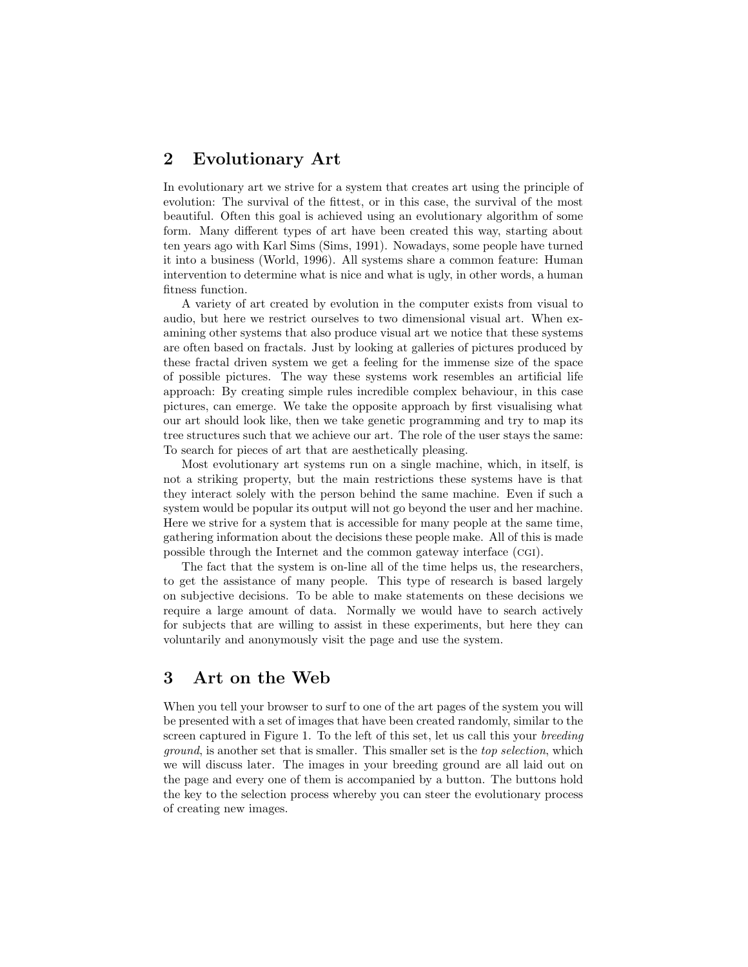# 2 Evolutionary Art

In evolutionary art we strive for a system that creates art using the principle of evolution: The survival of the fittest, or in this case, the survival of the most beautiful. Often this goal is achieved using an evolutionary algorithm of some form. Many different types of art have been created this way, starting about ten years ago with Karl Sims (Sims, 1991). Nowadays, some people have turned it into a business (World, 1996). All systems share a common feature: Human intervention to determine what is nice and what is ugly, in other words, a human fitness function.

A variety of art created by evolution in the computer exists from visual to audio, but here we restrict ourselves to two dimensional visual art. When examining other systems that also produce visual art we notice that these systems are often based on fractals. Just by looking at galleries of pictures produced by these fractal driven system we get a feeling for the immense size of the space of possible pictures. The way these systems work resembles an artificial life approach: By creating simple rules incredible complex behaviour, in this case pictures, can emerge. We take the opposite approach by first visualising what our art should look like, then we take genetic programming and try to map its tree structures such that we achieve our art. The role of the user stays the same: To search for pieces of art that are aesthetically pleasing.

Most evolutionary art systems run on a single machine, which, in itself, is not a striking property, but the main restrictions these systems have is that they interact solely with the person behind the same machine. Even if such a system would be popular its output will not go beyond the user and her machine. Here we strive for a system that is accessible for many people at the same time, gathering information about the decisions these people make. All of this is made possible through the Internet and the common gateway interface (cgi).

The fact that the system is on-line all of the time helps us, the researchers, to get the assistance of many people. This type of research is based largely on subjective decisions. To be able to make statements on these decisions we require a large amount of data. Normally we would have to search actively for subjects that are willing to assist in these experiments, but here they can voluntarily and anonymously visit the page and use the system.

# 3 Art on the Web

When you tell your browser to surf to one of the art pages of the system you will be presented with a set of images that have been created randomly, similar to the screen captured in Figure 1. To the left of this set, let us call this your breeding ground, is another set that is smaller. This smaller set is the top selection, which we will discuss later. The images in your breeding ground are all laid out on the page and every one of them is accompanied by a button. The buttons hold the key to the selection process whereby you can steer the evolutionary process of creating new images.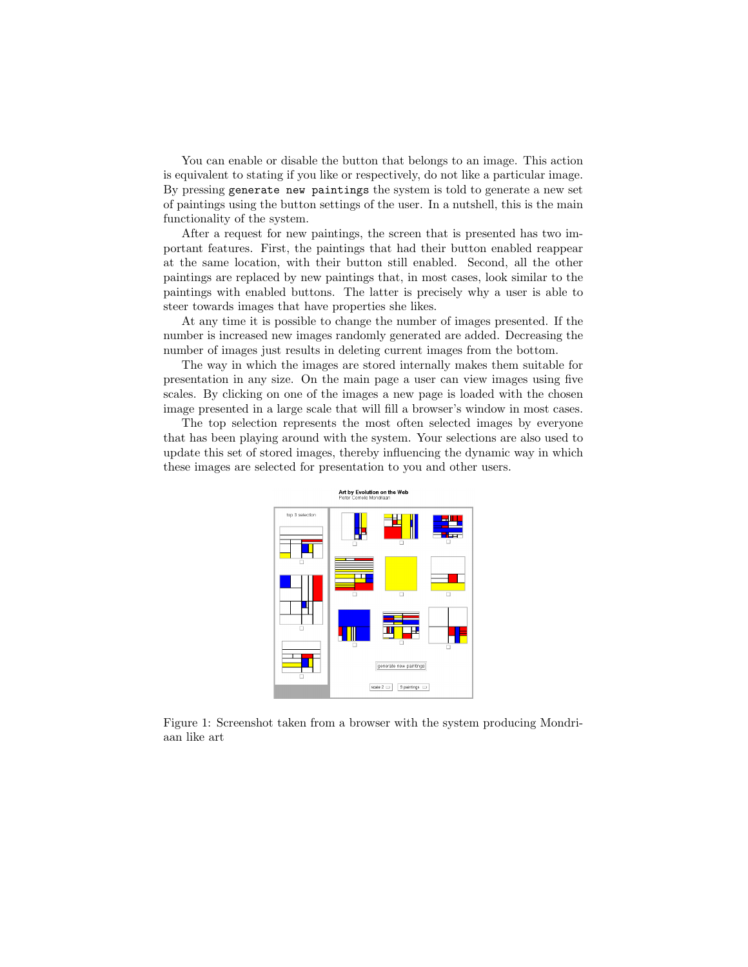You can enable or disable the button that belongs to an image. This action is equivalent to stating if you like or respectively, do not like a particular image. By pressing generate new paintings the system is told to generate a new set of paintings using the button settings of the user. In a nutshell, this is the main functionality of the system.

After a request for new paintings, the screen that is presented has two important features. First, the paintings that had their button enabled reappear at the same location, with their button still enabled. Second, all the other paintings are replaced by new paintings that, in most cases, look similar to the paintings with enabled buttons. The latter is precisely why a user is able to steer towards images that have properties she likes.

At any time it is possible to change the number of images presented. If the number is increased new images randomly generated are added. Decreasing the number of images just results in deleting current images from the bottom.

The way in which the images are stored internally makes them suitable for presentation in any size. On the main page a user can view images using five scales. By clicking on one of the images a new page is loaded with the chosen image presented in a large scale that will fill a browser's window in most cases.

The top selection represents the most often selected images by everyone that has been playing around with the system. Your selections are also used to update this set of stored images, thereby influencing the dynamic way in which these images are selected for presentation to you and other users.



Art by Evolution on the Web

Figure 1: Screenshot taken from a browser with the system producing Mondriaan like art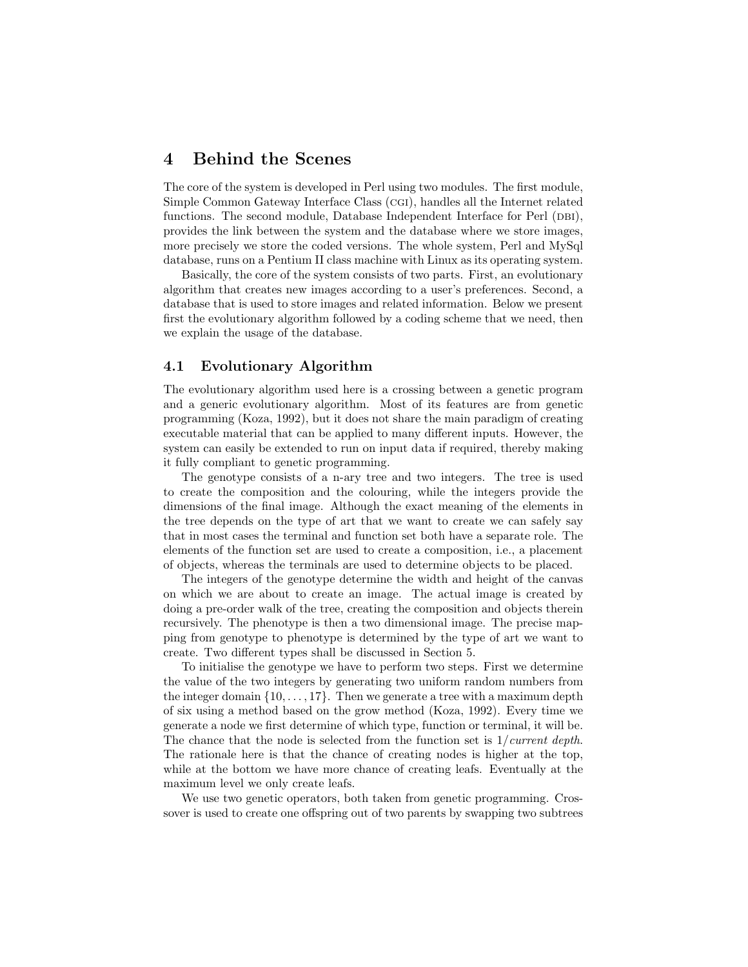## 4 Behind the Scenes

The core of the system is developed in Perl using two modules. The first module, Simple Common Gateway Interface Class (cgi), handles all the Internet related functions. The second module, Database Independent Interface for Perl (DBI), provides the link between the system and the database where we store images, more precisely we store the coded versions. The whole system, Perl and MySql database, runs on a Pentium II class machine with Linux as its operating system.

Basically, the core of the system consists of two parts. First, an evolutionary algorithm that creates new images according to a user's preferences. Second, a database that is used to store images and related information. Below we present first the evolutionary algorithm followed by a coding scheme that we need, then we explain the usage of the database.

### 4.1 Evolutionary Algorithm

The evolutionary algorithm used here is a crossing between a genetic program and a generic evolutionary algorithm. Most of its features are from genetic programming (Koza, 1992), but it does not share the main paradigm of creating executable material that can be applied to many different inputs. However, the system can easily be extended to run on input data if required, thereby making it fully compliant to genetic programming.

The genotype consists of a n-ary tree and two integers. The tree is used to create the composition and the colouring, while the integers provide the dimensions of the final image. Although the exact meaning of the elements in the tree depends on the type of art that we want to create we can safely say that in most cases the terminal and function set both have a separate role. The elements of the function set are used to create a composition, i.e., a placement of objects, whereas the terminals are used to determine objects to be placed.

The integers of the genotype determine the width and height of the canvas on which we are about to create an image. The actual image is created by doing a pre-order walk of the tree, creating the composition and objects therein recursively. The phenotype is then a two dimensional image. The precise mapping from genotype to phenotype is determined by the type of art we want to create. Two different types shall be discussed in Section 5.

To initialise the genotype we have to perform two steps. First we determine the value of the two integers by generating two uniform random numbers from the integer domain  $\{10, \ldots, 17\}$ . Then we generate a tree with a maximum depth of six using a method based on the grow method (Koza, 1992). Every time we generate a node we first determine of which type, function or terminal, it will be. The chance that the node is selected from the function set is  $1/current\ depth$ . The rationale here is that the chance of creating nodes is higher at the top, while at the bottom we have more chance of creating leafs. Eventually at the maximum level we only create leafs.

We use two genetic operators, both taken from genetic programming. Crossover is used to create one offspring out of two parents by swapping two subtrees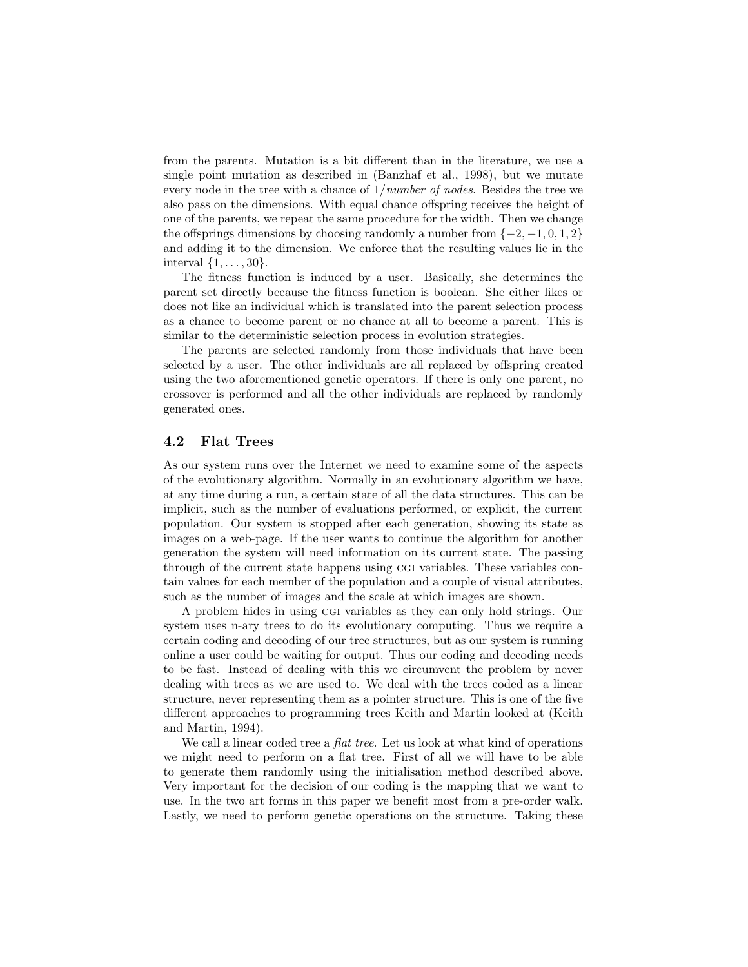from the parents. Mutation is a bit different than in the literature, we use a single point mutation as described in (Banzhaf et al., 1998), but we mutate every node in the tree with a chance of 1/number of nodes. Besides the tree we also pass on the dimensions. With equal chance offspring receives the height of one of the parents, we repeat the same procedure for the width. Then we change the offsprings dimensions by choosing randomly a number from  $\{-2, -1, 0, 1, 2\}$ and adding it to the dimension. We enforce that the resulting values lie in the interval  $\{1, \ldots, 30\}$ .

The fitness function is induced by a user. Basically, she determines the parent set directly because the fitness function is boolean. She either likes or does not like an individual which is translated into the parent selection process as a chance to become parent or no chance at all to become a parent. This is similar to the deterministic selection process in evolution strategies.

The parents are selected randomly from those individuals that have been selected by a user. The other individuals are all replaced by offspring created using the two aforementioned genetic operators. If there is only one parent, no crossover is performed and all the other individuals are replaced by randomly generated ones.

## 4.2 Flat Trees

As our system runs over the Internet we need to examine some of the aspects of the evolutionary algorithm. Normally in an evolutionary algorithm we have, at any time during a run, a certain state of all the data structures. This can be implicit, such as the number of evaluations performed, or explicit, the current population. Our system is stopped after each generation, showing its state as images on a web-page. If the user wants to continue the algorithm for another generation the system will need information on its current state. The passing through of the current state happens using cgi variables. These variables contain values for each member of the population and a couple of visual attributes, such as the number of images and the scale at which images are shown.

A problem hides in using cgi variables as they can only hold strings. Our system uses n-ary trees to do its evolutionary computing. Thus we require a certain coding and decoding of our tree structures, but as our system is running online a user could be waiting for output. Thus our coding and decoding needs to be fast. Instead of dealing with this we circumvent the problem by never dealing with trees as we are used to. We deal with the trees coded as a linear structure, never representing them as a pointer structure. This is one of the five different approaches to programming trees Keith and Martin looked at (Keith and Martin, 1994).

We call a linear coded tree a *flat tree*. Let us look at what kind of operations we might need to perform on a flat tree. First of all we will have to be able to generate them randomly using the initialisation method described above. Very important for the decision of our coding is the mapping that we want to use. In the two art forms in this paper we benefit most from a pre-order walk. Lastly, we need to perform genetic operations on the structure. Taking these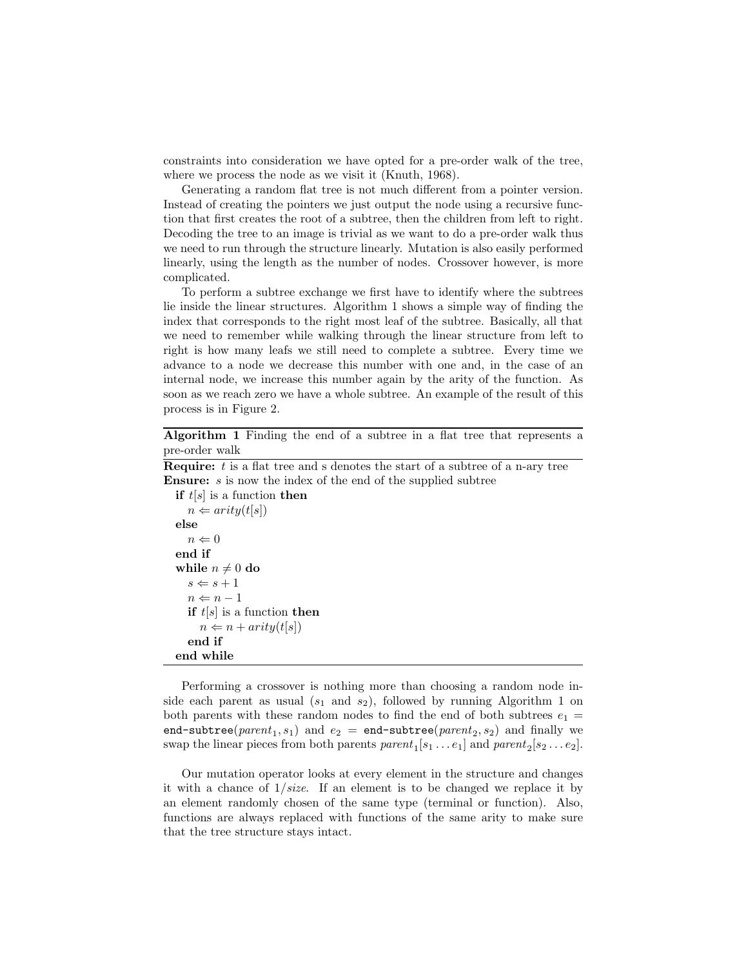constraints into consideration we have opted for a pre-order walk of the tree, where we process the node as we visit it (Knuth, 1968).

Generating a random flat tree is not much different from a pointer version. Instead of creating the pointers we just output the node using a recursive function that first creates the root of a subtree, then the children from left to right. Decoding the tree to an image is trivial as we want to do a pre-order walk thus we need to run through the structure linearly. Mutation is also easily performed linearly, using the length as the number of nodes. Crossover however, is more complicated.

To perform a subtree exchange we first have to identify where the subtrees lie inside the linear structures. Algorithm 1 shows a simple way of finding the index that corresponds to the right most leaf of the subtree. Basically, all that we need to remember while walking through the linear structure from left to right is how many leafs we still need to complete a subtree. Every time we advance to a node we decrease this number with one and, in the case of an internal node, we increase this number again by the arity of the function. As soon as we reach zero we have a whole subtree. An example of the result of this process is in Figure 2.

Algorithm 1 Finding the end of a subtree in a flat tree that represents a pre-order walk

**Require:**  $t$  is a flat tree and s denotes the start of a subtree of a n-ary tree **Ensure:** s is now the index of the end of the supplied subtree

```
if t[s] is a function then
   n \Leftarrow arity(t[s])
else
   n \Leftarrow 0end if
while n \neq 0 do
   s \Leftarrow s + 1n \Leftarrow n - 1if t[s] is a function then
     n \Leftarrow n + arity(t[s])end if
end while
```
Performing a crossover is nothing more than choosing a random node inside each parent as usual  $(s_1 \text{ and } s_2)$ , followed by running Algorithm 1 on both parents with these random nodes to find the end of both subtrees  $e_1 =$ end-subtree( $parent_1, s_1$ ) and  $e_2$  = end-subtree( $parent_2, s_2$ ) and finally we swap the linear pieces from both parents  $parent_1[s_1...e_1]$  and  $parent_2[s_2...e_2]$ .

Our mutation operator looks at every element in the structure and changes it with a chance of  $1/size$ . If an element is to be changed we replace it by an element randomly chosen of the same type (terminal or function). Also, functions are always replaced with functions of the same arity to make sure that the tree structure stays intact.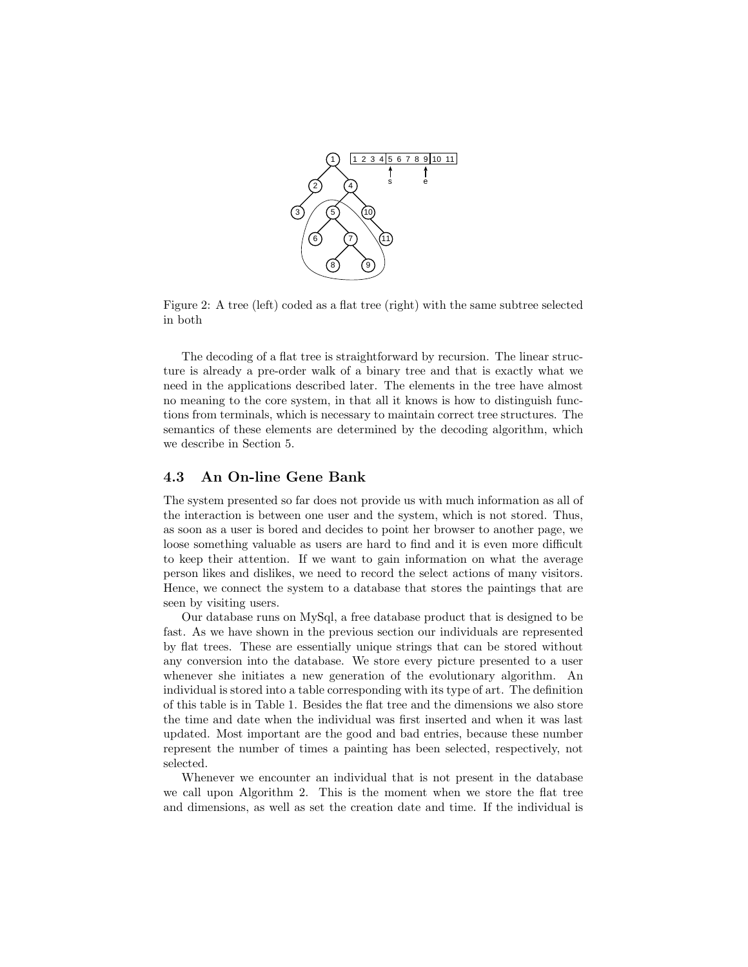

Figure 2: A tree (left) coded as a flat tree (right) with the same subtree selected in both

The decoding of a flat tree is straightforward by recursion. The linear structure is already a pre-order walk of a binary tree and that is exactly what we need in the applications described later. The elements in the tree have almost no meaning to the core system, in that all it knows is how to distinguish functions from terminals, which is necessary to maintain correct tree structures. The semantics of these elements are determined by the decoding algorithm, which we describe in Section 5.

### 4.3 An On-line Gene Bank

The system presented so far does not provide us with much information as all of the interaction is between one user and the system, which is not stored. Thus, as soon as a user is bored and decides to point her browser to another page, we loose something valuable as users are hard to find and it is even more difficult to keep their attention. If we want to gain information on what the average person likes and dislikes, we need to record the select actions of many visitors. Hence, we connect the system to a database that stores the paintings that are seen by visiting users.

Our database runs on MySql, a free database product that is designed to be fast. As we have shown in the previous section our individuals are represented by flat trees. These are essentially unique strings that can be stored without any conversion into the database. We store every picture presented to a user whenever she initiates a new generation of the evolutionary algorithm. An individual is stored into a table corresponding with its type of art. The definition of this table is in Table 1. Besides the flat tree and the dimensions we also store the time and date when the individual was first inserted and when it was last updated. Most important are the good and bad entries, because these number represent the number of times a painting has been selected, respectively, not selected.

Whenever we encounter an individual that is not present in the database we call upon Algorithm 2. This is the moment when we store the flat tree and dimensions, as well as set the creation date and time. If the individual is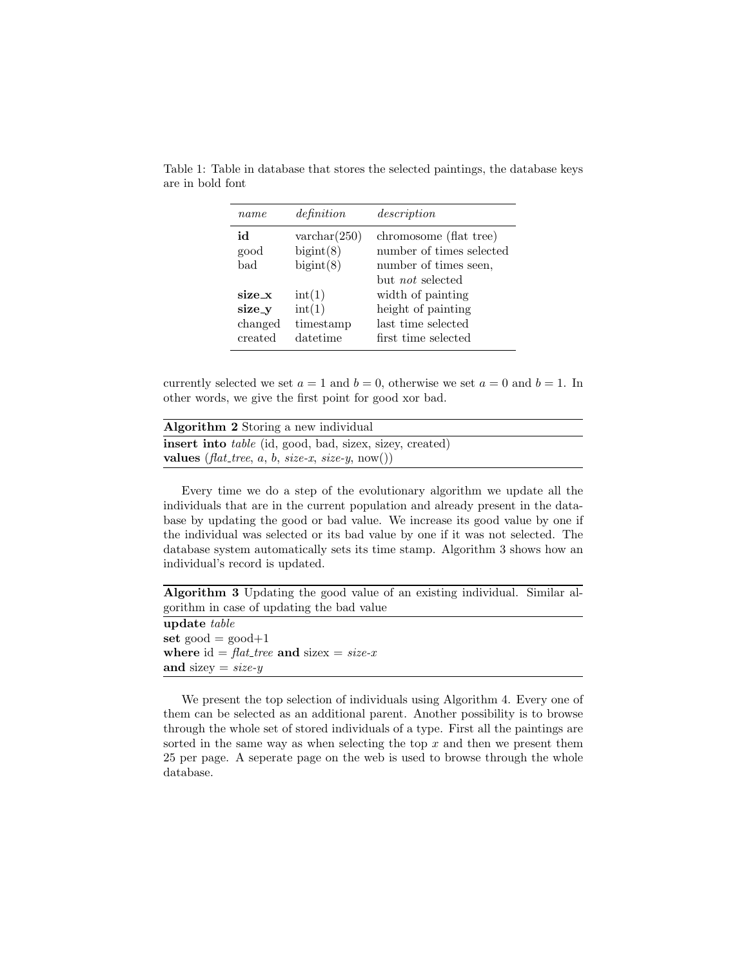| name                                   | definition                                                  | description                                                                                            |
|----------------------------------------|-------------------------------------------------------------|--------------------------------------------------------------------------------------------------------|
| ыi<br>good<br>bad                      | $\text{varchar}(250)$<br>bigint(8)<br>bigint(8)             | chromosome (flat tree)<br>number of times selected<br>number of times seen,<br>but <i>not</i> selected |
| size x<br>size_y<br>changed<br>created | $\text{int}(1)$<br>$\text{int}(1)$<br>timestamp<br>datetime | width of painting<br>height of painting<br>last time selected<br>first time selected                   |

Table 1: Table in database that stores the selected paintings, the database keys are in bold font

currently selected we set  $a = 1$  and  $b = 0$ , otherwise we set  $a = 0$  and  $b = 1$ . In other words, we give the first point for good xor bad.

| Algorithm 2 Storing a new individual                            |  |
|-----------------------------------------------------------------|--|
| insert into <i>table</i> (id, good, bad, sizex, sizey, created) |  |
| <b>values</b> ( <i>flat_tree, a, b, size-x, size-y,</i> now())  |  |

Every time we do a step of the evolutionary algorithm we update all the individuals that are in the current population and already present in the database by updating the good or bad value. We increase its good value by one if the individual was selected or its bad value by one if it was not selected. The database system automatically sets its time stamp. Algorithm 3 shows how an individual's record is updated.

Algorithm 3 Updating the good value of an existing individual. Similar algorithm in case of updating the bad value

update table set  $good = good + 1$ where id =  $flat\_tree$  and sizex = size-x and sizey =  $size-y$ 

We present the top selection of individuals using Algorithm 4. Every one of them can be selected as an additional parent. Another possibility is to browse through the whole set of stored individuals of a type. First all the paintings are sorted in the same way as when selecting the top  $x$  and then we present them 25 per page. A seperate page on the web is used to browse through the whole database.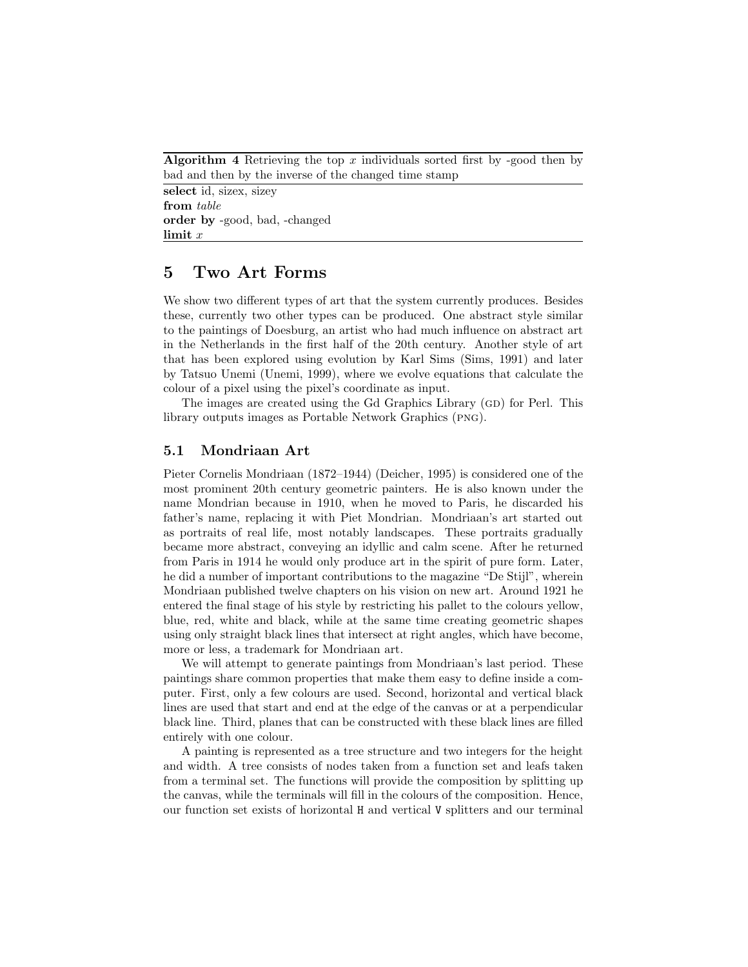**Algorithm 4** Retrieving the top x individuals sorted first by -good then by bad and then by the inverse of the changed time stamp

select id, sizex, sizey from table order by -good, bad, -changed  $\lim$ it  $x$ 

## 5 Two Art Forms

We show two different types of art that the system currently produces. Besides these, currently two other types can be produced. One abstract style similar to the paintings of Doesburg, an artist who had much influence on abstract art in the Netherlands in the first half of the 20th century. Another style of art that has been explored using evolution by Karl Sims (Sims, 1991) and later by Tatsuo Unemi (Unemi, 1999), where we evolve equations that calculate the colour of a pixel using the pixel's coordinate as input.

The images are created using the Gd Graphics Library (GD) for Perl. This library outputs images as Portable Network Graphics (png).

### 5.1 Mondriaan Art

Pieter Cornelis Mondriaan (1872–1944) (Deicher, 1995) is considered one of the most prominent 20th century geometric painters. He is also known under the name Mondrian because in 1910, when he moved to Paris, he discarded his father's name, replacing it with Piet Mondrian. Mondriaan's art started out as portraits of real life, most notably landscapes. These portraits gradually became more abstract, conveying an idyllic and calm scene. After he returned from Paris in 1914 he would only produce art in the spirit of pure form. Later, he did a number of important contributions to the magazine "De Stijl", wherein Mondriaan published twelve chapters on his vision on new art. Around 1921 he entered the final stage of his style by restricting his pallet to the colours yellow, blue, red, white and black, while at the same time creating geometric shapes using only straight black lines that intersect at right angles, which have become, more or less, a trademark for Mondriaan art.

We will attempt to generate paintings from Mondriaan's last period. These paintings share common properties that make them easy to define inside a computer. First, only a few colours are used. Second, horizontal and vertical black lines are used that start and end at the edge of the canvas or at a perpendicular black line. Third, planes that can be constructed with these black lines are filled entirely with one colour.

A painting is represented as a tree structure and two integers for the height and width. A tree consists of nodes taken from a function set and leafs taken from a terminal set. The functions will provide the composition by splitting up the canvas, while the terminals will fill in the colours of the composition. Hence, our function set exists of horizontal H and vertical V splitters and our terminal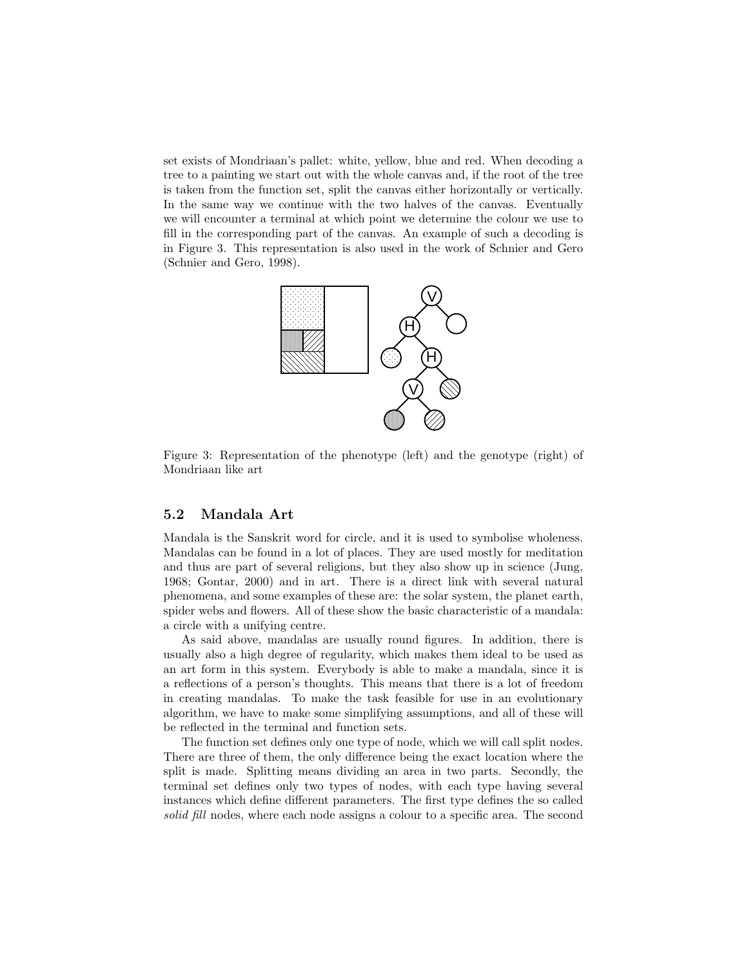set exists of Mondriaan's pallet: white, yellow, blue and red. When decoding a tree to a painting we start out with the whole canvas and, if the root of the tree is taken from the function set, split the canvas either horizontally or vertically. In the same way we continue with the two halves of the canvas. Eventually we will encounter a terminal at which point we determine the colour we use to fill in the corresponding part of the canvas. An example of such a decoding is in Figure 3. This representation is also used in the work of Schnier and Gero (Schnier and Gero, 1998).



Figure 3: Representation of the phenotype (left) and the genotype (right) of Mondriaan like art

### 5.2 Mandala Art

Mandala is the Sanskrit word for circle, and it is used to symbolise wholeness. Mandalas can be found in a lot of places. They are used mostly for meditation and thus are part of several religions, but they also show up in science (Jung, 1968; Gontar, 2000) and in art. There is a direct link with several natural phenomena, and some examples of these are: the solar system, the planet earth, spider webs and flowers. All of these show the basic characteristic of a mandala: a circle with a unifying centre.

As said above, mandalas are usually round figures. In addition, there is usually also a high degree of regularity, which makes them ideal to be used as an art form in this system. Everybody is able to make a mandala, since it is a reflections of a person's thoughts. This means that there is a lot of freedom in creating mandalas. To make the task feasible for use in an evolutionary algorithm, we have to make some simplifying assumptions, and all of these will be reflected in the terminal and function sets.

The function set defines only one type of node, which we will call split nodes. There are three of them, the only difference being the exact location where the split is made. Splitting means dividing an area in two parts. Secondly, the terminal set defines only two types of nodes, with each type having several instances which define different parameters. The first type defines the so called solid fill nodes, where each node assigns a colour to a specific area. The second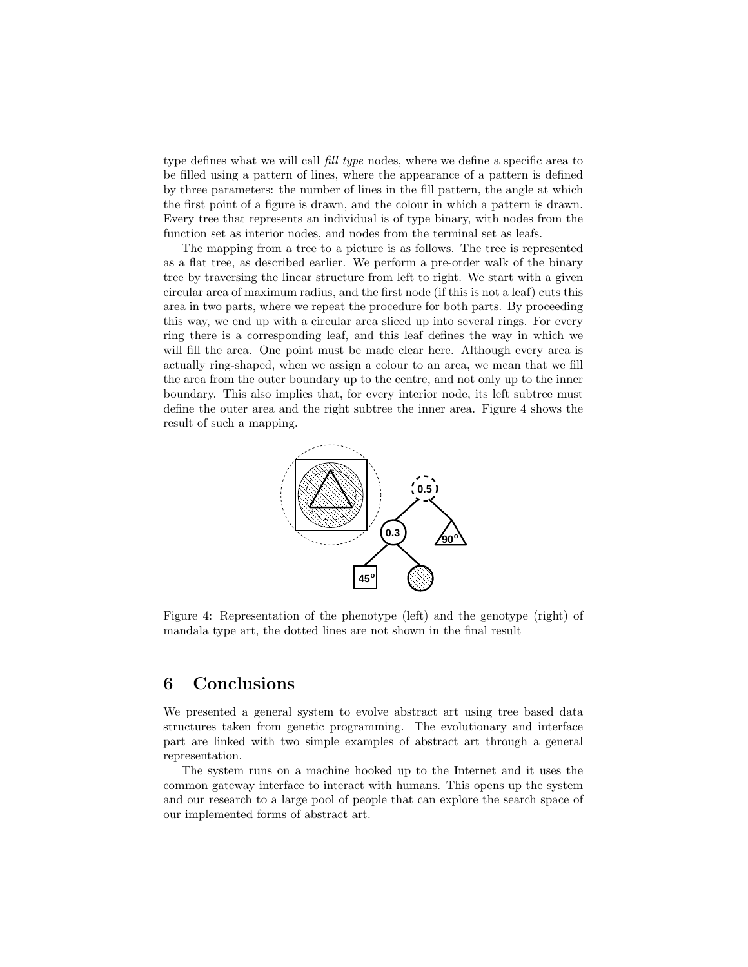type defines what we will call *fill type* nodes, where we define a specific area to be filled using a pattern of lines, where the appearance of a pattern is defined by three parameters: the number of lines in the fill pattern, the angle at which the first point of a figure is drawn, and the colour in which a pattern is drawn. Every tree that represents an individual is of type binary, with nodes from the function set as interior nodes, and nodes from the terminal set as leafs.

The mapping from a tree to a picture is as follows. The tree is represented as a flat tree, as described earlier. We perform a pre-order walk of the binary tree by traversing the linear structure from left to right. We start with a given circular area of maximum radius, and the first node (if this is not a leaf) cuts this area in two parts, where we repeat the procedure for both parts. By proceeding this way, we end up with a circular area sliced up into several rings. For every ring there is a corresponding leaf, and this leaf defines the way in which we will fill the area. One point must be made clear here. Although every area is actually ring-shaped, when we assign a colour to an area, we mean that we fill the area from the outer boundary up to the centre, and not only up to the inner boundary. This also implies that, for every interior node, its left subtree must define the outer area and the right subtree the inner area. Figure 4 shows the result of such a mapping.



Figure 4: Representation of the phenotype (left) and the genotype (right) of mandala type art, the dotted lines are not shown in the final result

# 6 Conclusions

We presented a general system to evolve abstract art using tree based data structures taken from genetic programming. The evolutionary and interface part are linked with two simple examples of abstract art through a general representation.

The system runs on a machine hooked up to the Internet and it uses the common gateway interface to interact with humans. This opens up the system and our research to a large pool of people that can explore the search space of our implemented forms of abstract art.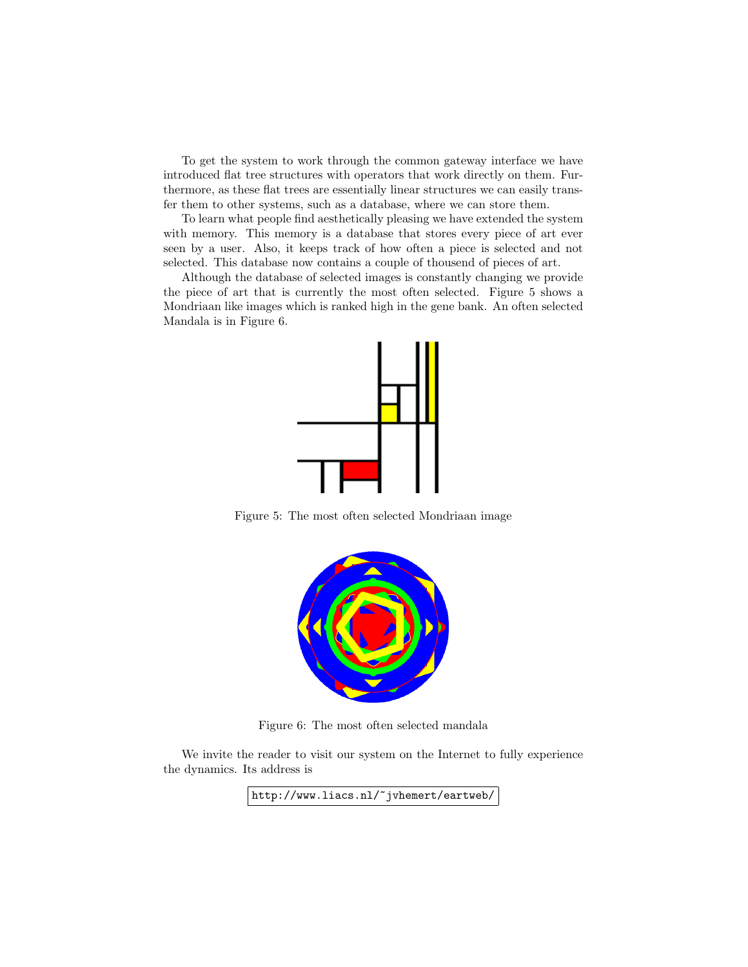To get the system to work through the common gateway interface we have introduced flat tree structures with operators that work directly on them. Furthermore, as these flat trees are essentially linear structures we can easily transfer them to other systems, such as a database, where we can store them.

To learn what people find aesthetically pleasing we have extended the system with memory. This memory is a database that stores every piece of art ever seen by a user. Also, it keeps track of how often a piece is selected and not selected. This database now contains a couple of thousend of pieces of art.

Although the database of selected images is constantly changing we provide the piece of art that is currently the most often selected. Figure 5 shows a Mondriaan like images which is ranked high in the gene bank. An often selected Mandala is in Figure 6.



Figure 5: The most often selected Mondriaan image



Figure 6: The most often selected mandala

We invite the reader to visit our system on the Internet to fully experience the dynamics. Its address is

http://www.liacs.nl/~jvhemert/eartweb/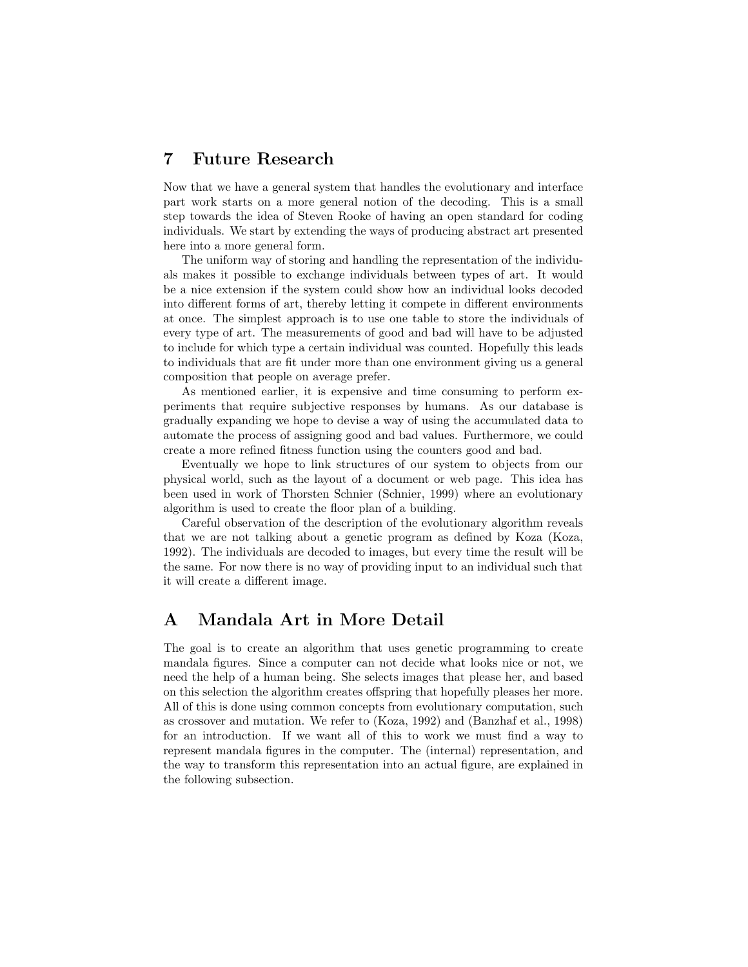## 7 Future Research

Now that we have a general system that handles the evolutionary and interface part work starts on a more general notion of the decoding. This is a small step towards the idea of Steven Rooke of having an open standard for coding individuals. We start by extending the ways of producing abstract art presented here into a more general form.

The uniform way of storing and handling the representation of the individuals makes it possible to exchange individuals between types of art. It would be a nice extension if the system could show how an individual looks decoded into different forms of art, thereby letting it compete in different environments at once. The simplest approach is to use one table to store the individuals of every type of art. The measurements of good and bad will have to be adjusted to include for which type a certain individual was counted. Hopefully this leads to individuals that are fit under more than one environment giving us a general composition that people on average prefer.

As mentioned earlier, it is expensive and time consuming to perform experiments that require subjective responses by humans. As our database is gradually expanding we hope to devise a way of using the accumulated data to automate the process of assigning good and bad values. Furthermore, we could create a more refined fitness function using the counters good and bad.

Eventually we hope to link structures of our system to objects from our physical world, such as the layout of a document or web page. This idea has been used in work of Thorsten Schnier (Schnier, 1999) where an evolutionary algorithm is used to create the floor plan of a building.

Careful observation of the description of the evolutionary algorithm reveals that we are not talking about a genetic program as defined by Koza (Koza, 1992). The individuals are decoded to images, but every time the result will be the same. For now there is no way of providing input to an individual such that it will create a different image.

# A Mandala Art in More Detail

The goal is to create an algorithm that uses genetic programming to create mandala figures. Since a computer can not decide what looks nice or not, we need the help of a human being. She selects images that please her, and based on this selection the algorithm creates offspring that hopefully pleases her more. All of this is done using common concepts from evolutionary computation, such as crossover and mutation. We refer to (Koza, 1992) and (Banzhaf et al., 1998) for an introduction. If we want all of this to work we must find a way to represent mandala figures in the computer. The (internal) representation, and the way to transform this representation into an actual figure, are explained in the following subsection.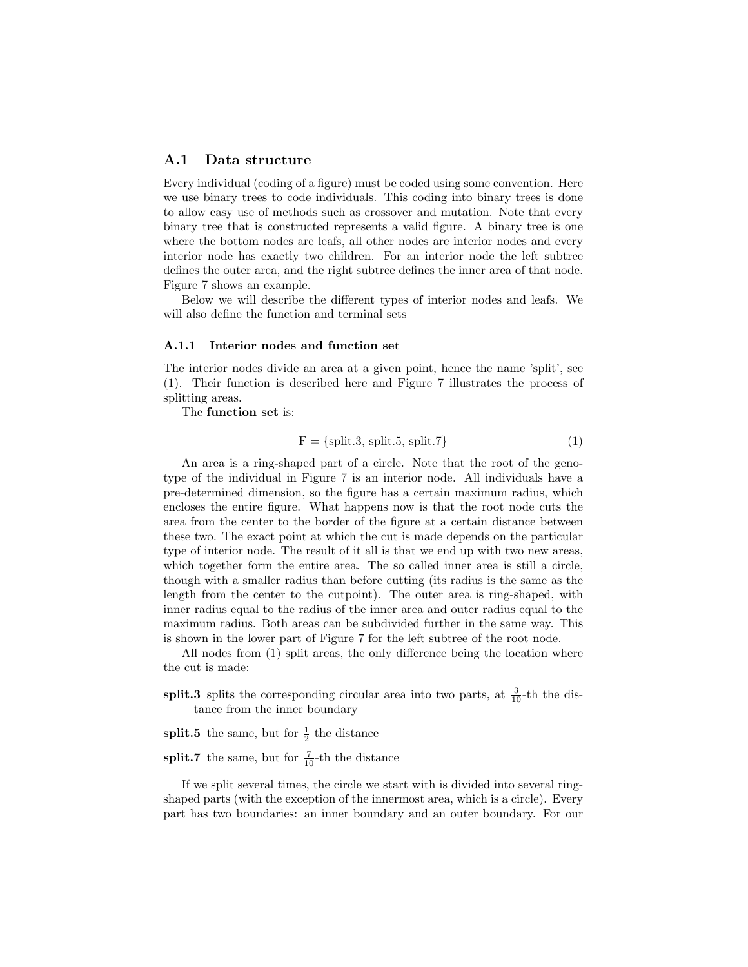### A.1 Data structure

Every individual (coding of a figure) must be coded using some convention. Here we use binary trees to code individuals. This coding into binary trees is done to allow easy use of methods such as crossover and mutation. Note that every binary tree that is constructed represents a valid figure. A binary tree is one where the bottom nodes are leafs, all other nodes are interior nodes and every interior node has exactly two children. For an interior node the left subtree defines the outer area, and the right subtree defines the inner area of that node. Figure 7 shows an example.

Below we will describe the different types of interior nodes and leafs. We will also define the function and terminal sets

#### A.1.1 Interior nodes and function set

The interior nodes divide an area at a given point, hence the name 'split', see (1). Their function is described here and Figure 7 illustrates the process of splitting areas.

The function set is:

$$
F = {split.3, split.5, split.7}
$$
 (1)

An area is a ring-shaped part of a circle. Note that the root of the genotype of the individual in Figure 7 is an interior node. All individuals have a pre-determined dimension, so the figure has a certain maximum radius, which encloses the entire figure. What happens now is that the root node cuts the area from the center to the border of the figure at a certain distance between these two. The exact point at which the cut is made depends on the particular type of interior node. The result of it all is that we end up with two new areas, which together form the entire area. The so called inner area is still a circle, though with a smaller radius than before cutting (its radius is the same as the length from the center to the cutpoint). The outer area is ring-shaped, with inner radius equal to the radius of the inner area and outer radius equal to the maximum radius. Both areas can be subdivided further in the same way. This is shown in the lower part of Figure 7 for the left subtree of the root node.

All nodes from (1) split areas, the only difference being the location where the cut is made:

split.3 splits the corresponding circular area into two parts, at  $\frac{3}{10}$ -th the distance from the inner boundary

**split.5** the same, but for  $\frac{1}{2}$  the distance

**split.7** the same, but for  $\frac{7}{10}$ -th the distance

If we split several times, the circle we start with is divided into several ringshaped parts (with the exception of the innermost area, which is a circle). Every part has two boundaries: an inner boundary and an outer boundary. For our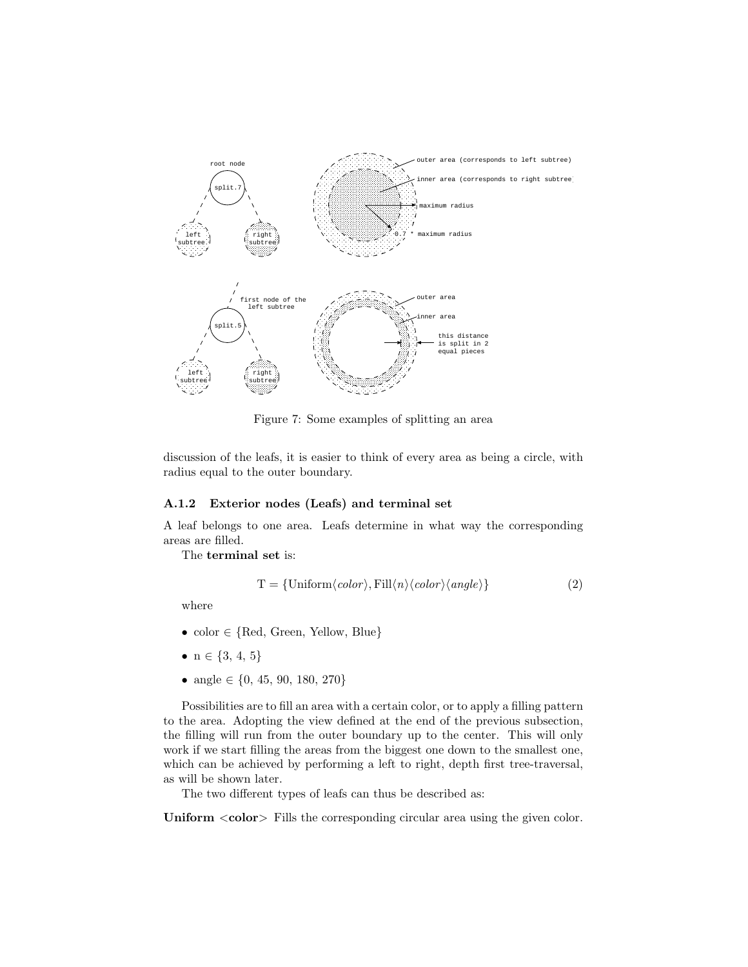

Figure 7: Some examples of splitting an area

discussion of the leafs, it is easier to think of every area as being a circle, with radius equal to the outer boundary.

### A.1.2 Exterior nodes (Leafs) and terminal set

A leaf belongs to one area. Leafs determine in what way the corresponding areas are filled.

The terminal set is:

$$
T = \{Uniform\langle color \rangle, Fill\langle n \rangle \langle color \rangle \langle angle \rangle\}
$$
 (2)

where

- color ∈ {Red, Green, Yellow, Blue}
- $n \in \{3, 4, 5\}$
- angle  $\in \{0, 45, 90, 180, 270\}$

Possibilities are to fill an area with a certain color, or to apply a filling pattern to the area. Adopting the view defined at the end of the previous subsection, the filling will run from the outer boundary up to the center. This will only work if we start filling the areas from the biggest one down to the smallest one, which can be achieved by performing a left to right, depth first tree-traversal, as will be shown later.

The two different types of leafs can thus be described as:

Uniform  $\langle \text{color} \rangle$  Fills the corresponding circular area using the given color.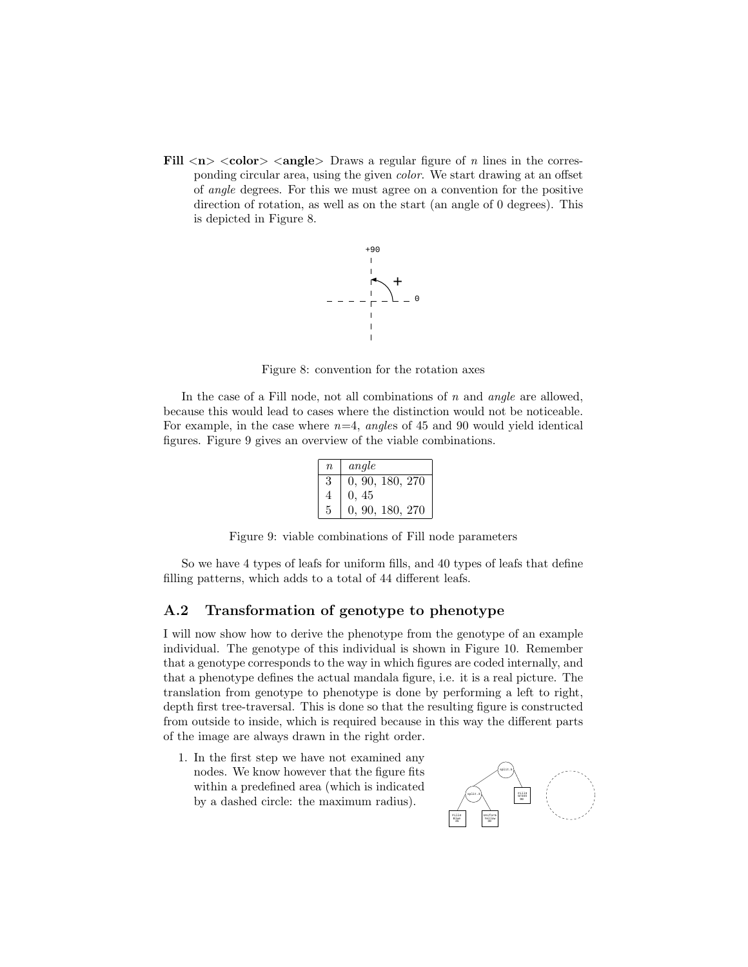Fill  $\langle n \rangle$   $\langle color \rangle$   $\langle angle \rangle$  Draws a regular figure of *n* lines in the corresponding circular area, using the given color. We start drawing at an offset of angle degrees. For this we must agree on a convention for the positive direction of rotation, as well as on the start (an angle of 0 degrees). This is depicted in Figure 8.



Figure 8: convention for the rotation axes

In the case of a Fill node, not all combinations of  $n$  and angle are allowed, because this would lead to cases where the distinction would not be noticeable. For example, in the case where  $n=4$ , angles of 45 and 90 would yield identical figures. Figure 9 gives an overview of the viable combinations.

| $\eta$ | angle           |
|--------|-----------------|
| 3      | 0, 90, 180, 270 |
|        | 0.45            |
|        | 0, 90, 180, 270 |

Figure 9: viable combinations of Fill node parameters

So we have 4 types of leafs for uniform fills, and 40 types of leafs that define filling patterns, which adds to a total of 44 different leafs.

### A.2 Transformation of genotype to phenotype

I will now show how to derive the phenotype from the genotype of an example individual. The genotype of this individual is shown in Figure 10. Remember that a genotype corresponds to the way in which figures are coded internally, and that a phenotype defines the actual mandala figure, i.e. it is a real picture. The translation from genotype to phenotype is done by performing a left to right, depth first tree-traversal. This is done so that the resulting figure is constructed from outside to inside, which is required because in this way the different parts of the image are always drawn in the right order.

1. In the first step we have not examined any nodes. We know however that the figure fits within a predefined area (which is indicated by a dashed circle: the maximum radius).

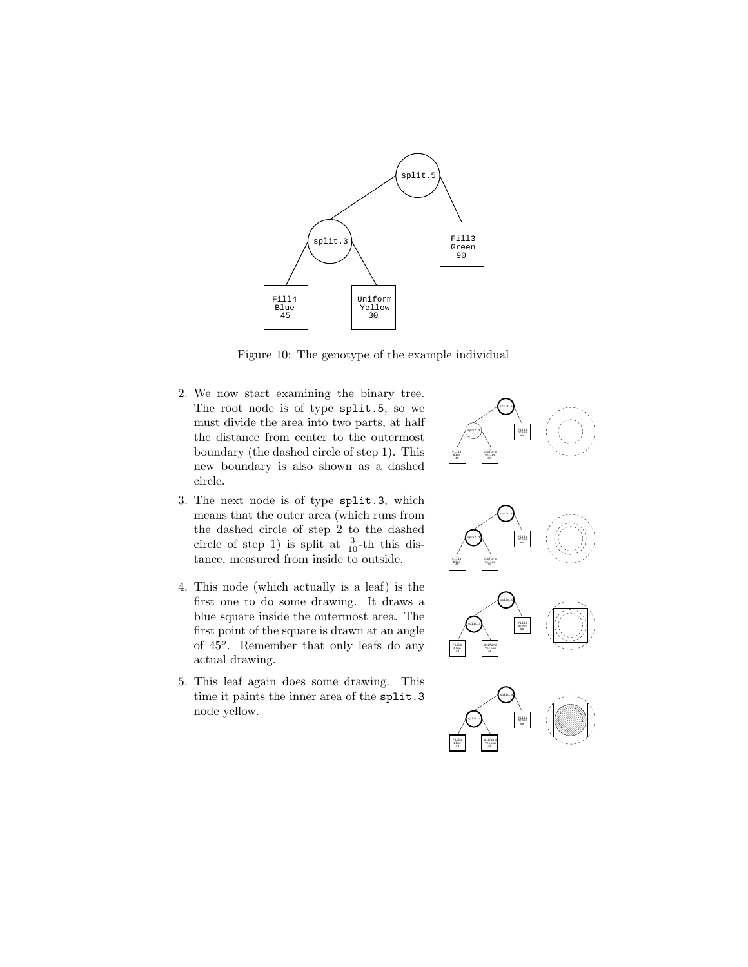

Figure 10: The genotype of the example individual

- 2. We now start examining the binary tree. The root node is of type split.5, so we must divide the area into two parts, at half the distance from center to the outermost boundary (the dashed circle of step 1). This new boundary is also shown as a dashed circle.
- 3. The next node is of type split.3, which means that the outer area (which runs from the dashed circle of step 2 to the dashed circle of step 1) is split at  $\frac{3}{10}$ -th this distance, measured from inside to outside.
- 4. This node (which actually is a leaf) is the first one to do some drawing. It draws a blue square inside the outermost area. The first point of the square is drawn at an angle of 45<sup>o</sup>. Remember that only leafs do any actual drawing.
- 5. This leaf again does some drawing. This time it paints the inner area of the split.3 node yellow.

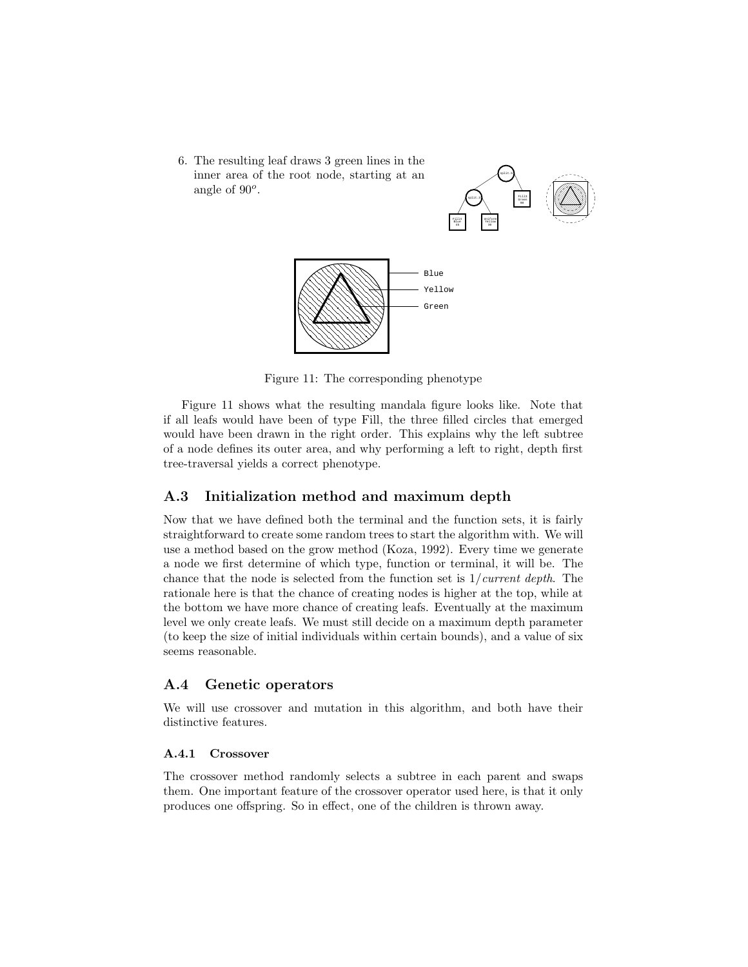6. The resulting leaf draws 3 green lines in the inner area of the root node, starting at an angle of  $90^o$ .





Figure 11: The corresponding phenotype

Figure 11 shows what the resulting mandala figure looks like. Note that if all leafs would have been of type Fill, the three filled circles that emerged would have been drawn in the right order. This explains why the left subtree of a node defines its outer area, and why performing a left to right, depth first tree-traversal yields a correct phenotype.

### A.3 Initialization method and maximum depth

Now that we have defined both the terminal and the function sets, it is fairly straightforward to create some random trees to start the algorithm with. We will use a method based on the grow method (Koza, 1992). Every time we generate a node we first determine of which type, function or terminal, it will be. The chance that the node is selected from the function set is  $1/current\ depth$ . The rationale here is that the chance of creating nodes is higher at the top, while at the bottom we have more chance of creating leafs. Eventually at the maximum level we only create leafs. We must still decide on a maximum depth parameter (to keep the size of initial individuals within certain bounds), and a value of six seems reasonable.

## A.4 Genetic operators

We will use crossover and mutation in this algorithm, and both have their distinctive features.

#### A.4.1 Crossover

The crossover method randomly selects a subtree in each parent and swaps them. One important feature of the crossover operator used here, is that it only produces one offspring. So in effect, one of the children is thrown away.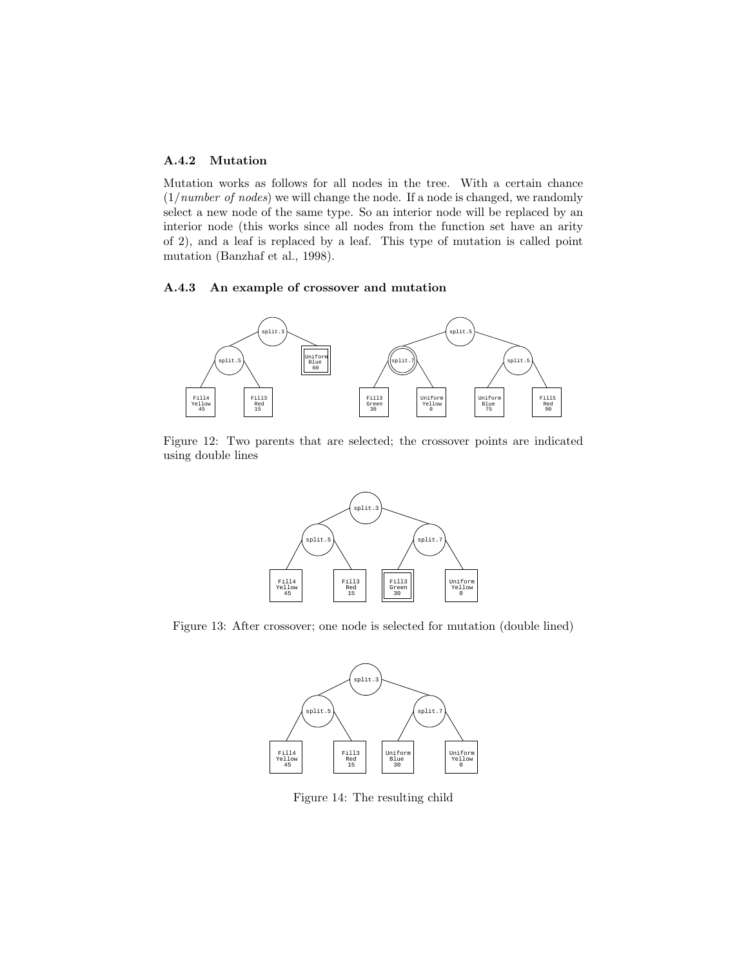### A.4.2 Mutation

Mutation works as follows for all nodes in the tree. With a certain chance  $(1/number\ of\ nodes)$  we will change the node. If a node is changed, we randomly select a new node of the same type. So an interior node will be replaced by an interior node (this works since all nodes from the function set have an arity of 2), and a leaf is replaced by a leaf. This type of mutation is called point mutation (Banzhaf et al., 1998).

### A.4.3 An example of crossover and mutation



Figure 12: Two parents that are selected; the crossover points are indicated using double lines



Figure 13: After crossover; one node is selected for mutation (double lined)



Figure 14: The resulting child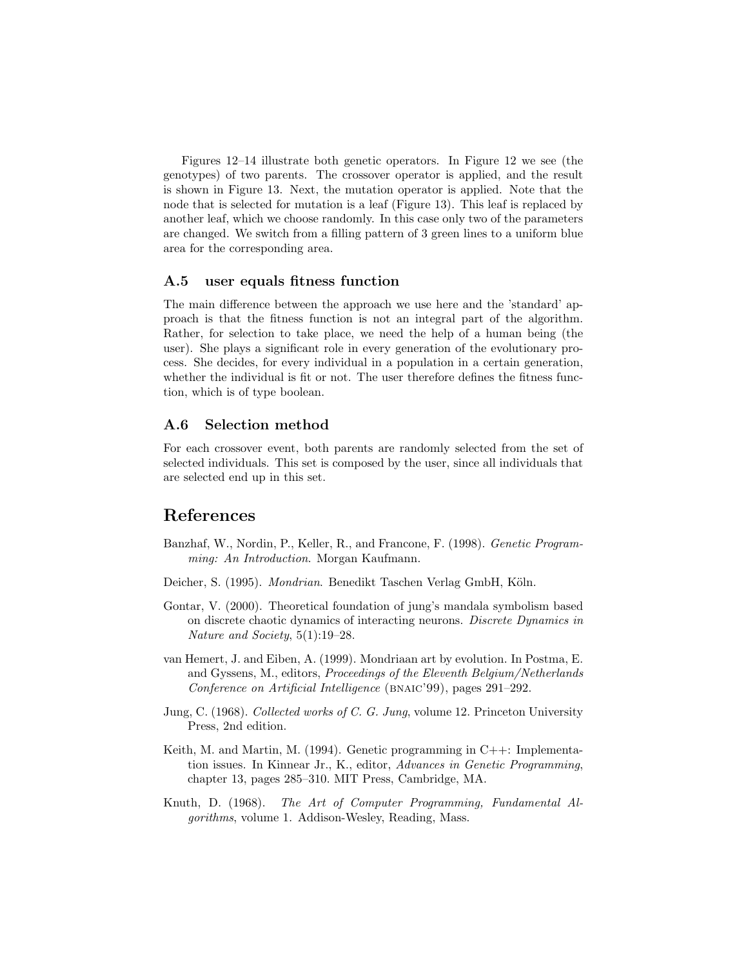Figures 12–14 illustrate both genetic operators. In Figure 12 we see (the genotypes) of two parents. The crossover operator is applied, and the result is shown in Figure 13. Next, the mutation operator is applied. Note that the node that is selected for mutation is a leaf (Figure 13). This leaf is replaced by another leaf, which we choose randomly. In this case only two of the parameters are changed. We switch from a filling pattern of 3 green lines to a uniform blue area for the corresponding area.

### A.5 user equals fitness function

The main difference between the approach we use here and the 'standard' approach is that the fitness function is not an integral part of the algorithm. Rather, for selection to take place, we need the help of a human being (the user). She plays a significant role in every generation of the evolutionary process. She decides, for every individual in a population in a certain generation, whether the individual is fit or not. The user therefore defines the fitness function, which is of type boolean.

### A.6 Selection method

For each crossover event, both parents are randomly selected from the set of selected individuals. This set is composed by the user, since all individuals that are selected end up in this set.

## References

- Banzhaf, W., Nordin, P., Keller, R., and Francone, F. (1998). Genetic Programming: An Introduction. Morgan Kaufmann.
- Deicher, S. (1995). Mondrian. Benedikt Taschen Verlag GmbH, Köln.
- Gontar, V. (2000). Theoretical foundation of jung's mandala symbolism based on discrete chaotic dynamics of interacting neurons. Discrete Dynamics in Nature and Society, 5(1):19–28.
- van Hemert, J. and Eiben, A. (1999). Mondriaan art by evolution. In Postma, E. and Gyssens, M., editors, Proceedings of the Eleventh Belgium/Netherlands Conference on Artificial Intelligence (BNAIC'99), pages 291–292.
- Jung, C. (1968). Collected works of C. G. Jung, volume 12. Princeton University Press, 2nd edition.
- Keith, M. and Martin, M. (1994). Genetic programming in C++: Implementation issues. In Kinnear Jr., K., editor, Advances in Genetic Programming, chapter 13, pages 285–310. MIT Press, Cambridge, MA.
- Knuth, D. (1968). The Art of Computer Programming, Fundamental Algorithms, volume 1. Addison-Wesley, Reading, Mass.